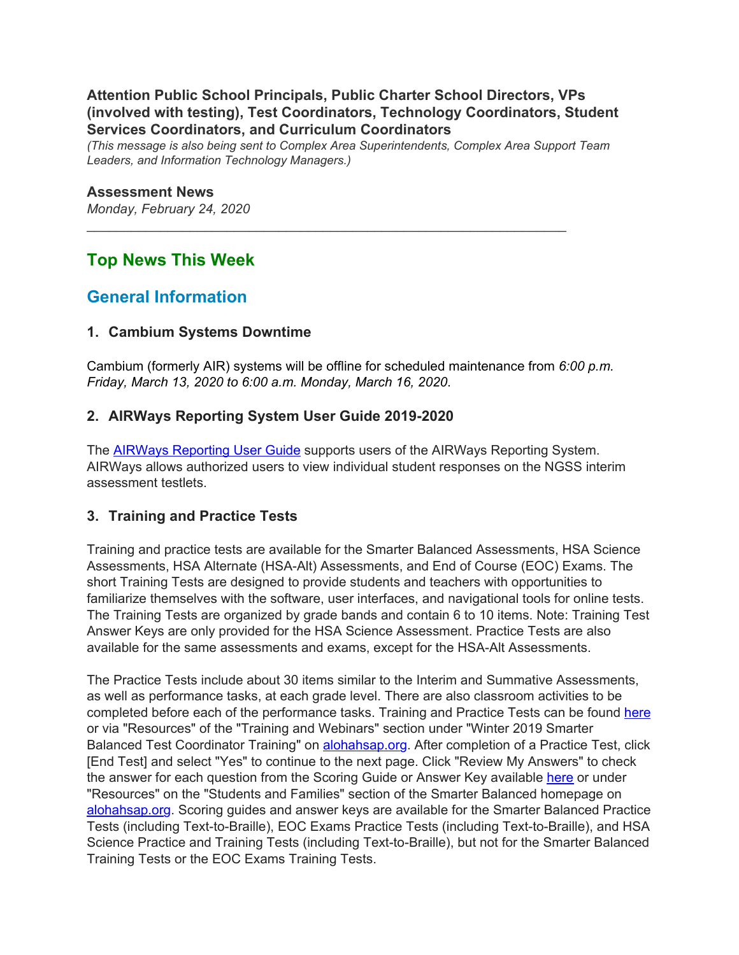#### **Attention Public School Principals, Public Charter School Directors, VPs (involved with testing), Test Coordinators, Technology Coordinators, Student Services Coordinators, and Curriculum Coordinators**

*(This message is also being sent to Complex Area Superintendents, Complex Area Support Team Leaders, and Information Technology Managers.)*

\_\_\_\_\_\_\_\_\_\_\_\_\_\_\_\_\_\_\_\_\_\_\_\_\_\_\_\_\_\_\_\_\_\_\_\_\_\_\_\_\_\_\_\_\_\_\_\_\_\_\_\_\_\_\_\_\_\_\_\_\_\_\_\_\_

#### **Assessment News**

*Monday, February 24, 2020*

## **Top News This Week**

## **General Information**

#### **1. Cambium Systems Downtime**

Cambium (formerly AIR) systems will be offline for scheduled maintenance from *6:00 p.m. Friday, March 13, 2020 to 6:00 a.m. Monday, March 16, 2020*.

#### **2. AIRWays Reporting System User Guide 2019-2020**

The **AIRWays [Reporting](https://hsa.alohahsap.org/core/fileparse.php/3388/urlt/AIRWays-Reporting-Guide-2019-2020.pdf) User Guide** supports users of the AIRWays Reporting System. AIRWays allows authorized users to view individual student responses on the NGSS interim assessment testlets.

#### **3. Training and Practice Tests**

Training and practice tests are available for the Smarter Balanced Assessments, HSA Science Assessments, HSA Alternate (HSA-Alt) Assessments, and End of Course (EOC) Exams. The short Training Tests are designed to provide students and teachers with opportunities to familiarize themselves with the software, user interfaces, and navigational tools for online tests. The Training Tests are organized by grade bands and contain 6 to 10 items. Note: Training Test Answer Keys are only provided for the HSA Science Assessment. Practice Tests are also available for the same assessments and exams, except for the HSA-Alt Assessments.

The Practice Tests include about 30 items similar to the Interim and Summative Assessments, as well as performance tasks, at each grade level. There are also classroom activities to be completed before each of the performance tasks. Training and Practice Tests can be found [here](https://smarterbalanced.alohahsap.org/core/fileparse.php/3410/urlt/Training-and-Practice-Tests-5-Ws-and-How.pdf) or via "Resources" of the "Training and Webinars" section under "Winter 2019 Smarter Balanced Test Coordinator Training" on **[alohahsap.org](https://alohahsap.org/)**. After completion of a Practice Test, click [End Test] and select "Yes" to continue to the next page. Click "Review My Answers" to check the answer for each question from the Scoring Guide or Answer Key available [here](https://smarterbalanced.alohahsap.org/answer-keys.stml) or under "Resources" on the "Students and Families" section of the Smarter Balanced homepage on [alohahsap.org](https://alohahsap.org/). Scoring guides and answer keys are available for the Smarter Balanced Practice Tests (including Text-to-Braille), EOC Exams Practice Tests (including Text-to-Braille), and HSA Science Practice and Training Tests (including Text-to-Braille), but not for the Smarter Balanced Training Tests or the EOC Exams Training Tests.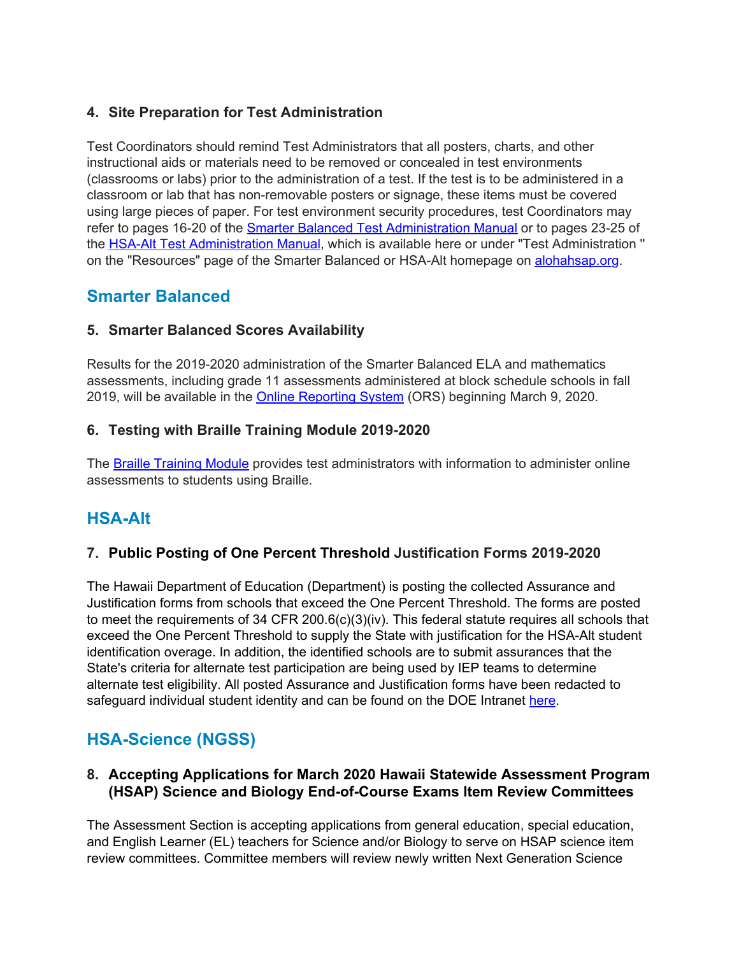### **4. Site Preparation for Test Administration**

Test Coordinators should remind Test Administrators that all posters, charts, and other instructional aids or materials need to be removed or concealed in test environments (classrooms or labs) prior to the administration of a test. If the test is to be administered in a classroom or lab that has non-removable posters or signage, these items must be covered using large pieces of paper. For test environment security procedures, test Coordinators may refer to pages 16-20 of the Smarter Balanced Test [Administration](https://smarterbalanced.alohahsap.org/core/fileparse.php/3410/urlt/Smarter-Balanced-Summative-TAM_2019-2020.pdf) Manual or to pages 23-25 of the HSA-Alt Test [Administration](https://hsa-alt.alohahsap.org/core/fileparse.php/3344/urlt/HSA-Alt-Spring-2020-TAM.pdf) Manual, which is available here or under "Test Administration '' on the "Resources" page of the Smarter Balanced or HSA-Alt homepage on [alohahsap.org](https://alohahsap.org/).

## **Smarter Balanced**

### **5. Smarter Balanced Scores Availability**

Results for the 2019-2020 administration of the Smarter Balanced ELA and mathematics assessments, including grade 11 assessments administered at block schedule schools in fall 2019, will be available in the **Online [Reporting](https://smarterbalanced.alohahsap.org/users/test-administrators.stml) System** (ORS) beginning March 9, 2020.

### **6. Testing with Braille Training Module 2019-2020**

The Braille [Training](https://smarterbalanced.alohahsap.org/resources/training-modules-tw/) Module provides test administrators with information to administer online assessments to students using Braille.

# **HSA-Alt**

### **7. Public Posting of One Percent Threshold Justification Forms 2019-2020**

The Hawaii Department of Education (Department) is posting the collected Assurance and Justification forms from schools that exceed the One Percent Threshold. The forms are posted to meet the requirements of 34 CFR 200.6(c)(3)(iv). This federal statute requires all schools that exceed the One Percent Threshold to supply the State with justification for the HSA-Alt student identification overage. In addition, the identified schools are to submit assurances that the State's criteria for alternate test participation are being used by IEP teams to determine alternate test eligibility. All posted Assurance and Justification forms have been redacted to safeguard individual student identity and can be found on the DOE Intranet [here](http://www.hawaiipublicschools.org/VisionForSuccess/SchoolDataAndReports/StateReports/Pages/One-Percent-Threshold.aspx).

# **HSA-Science (NGSS)**

#### **8. Accepting Applications for March 2020 Hawaii Statewide Assessment Program (HSAP) Science and Biology End-of-Course Exams Item Review Committees**

The Assessment Section is accepting applications from general education, special education, and English Learner (EL) teachers for Science and/or Biology to serve on HSAP science item review committees. Committee members will review newly written Next Generation Science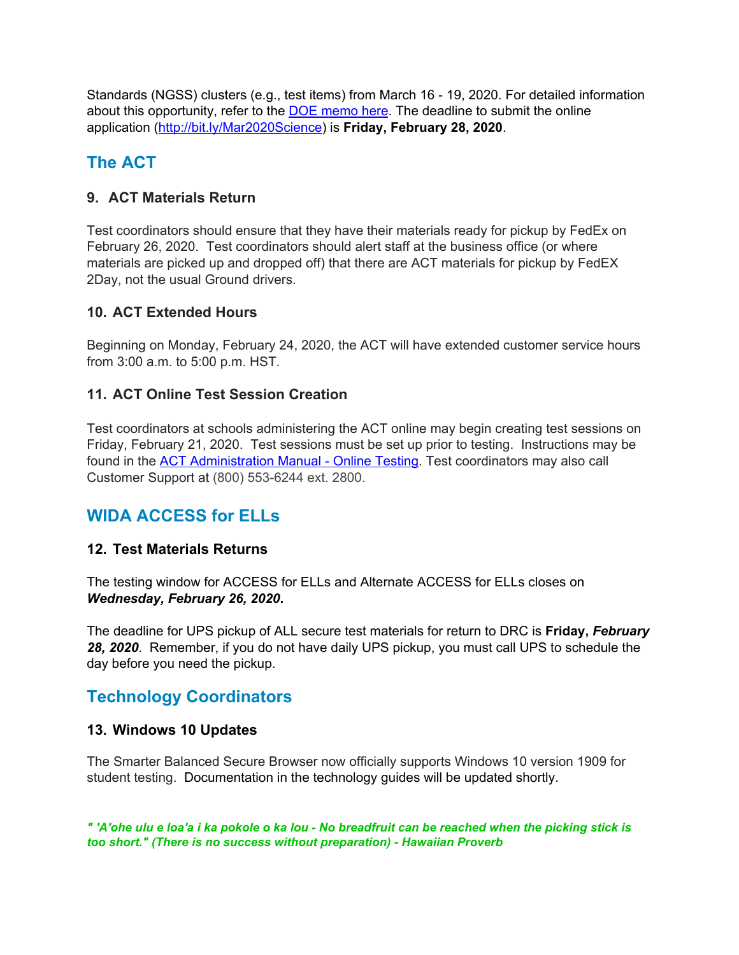Standards (NGSS) clusters (e.g., test items) from March 16 - 19, 2020. For detailed information about this opportunity, refer to the DOE [memo](https://hsa.alohahsap.org/core/fileparse.php/3388/urlt/Memo_Science-Item-Review-Mar2020.pdf) here. The deadline to submit the online application [\(http://bit.ly/Mar2020Science\)](http://bit.ly/Mar2020Science) is **Friday, February 28, 2020**.

# **The ACT**

### **9. ACT Materials Return**

Test coordinators should ensure that they have their materials ready for pickup by FedEx on February 26, 2020. Test coordinators should alert staff at the business office (or where materials are picked up and dropped off) that there are ACT materials for pickup by FedEX 2Day, not the usual Ground drivers.

### **10. ACT Extended Hours**

Beginning on Monday, February 24, 2020, the ACT will have extended customer service hours from 3:00 a.m. to 5:00 p.m. HST.

### **11. ACT Online Test Session Creation**

Test coordinators at schools administering the ACT online may begin creating test sessions on Friday, February 21, 2020. Test sessions must be set up prior to testing. Instructions may be found in the ACT [Administration](http://www.act.org/content/dam/act/secured/documents/pdfs/Admin-Manual-ACT-S&D-Online-Secured.pdf) Manual - Online Testing. Test coordinators may also call Customer Support at (800) 553-6244 ext. 2800.

# **WIDA ACCESS for ELLs**

### **12. Test Materials Returns**

The testing window for ACCESS for ELLs and Alternate ACCESS for ELLs closes on *Wednesday, February 26, 2020***.**

The deadline for UPS pickup of ALL secure test materials for return to DRC is **Friday,** *February 28, 2020*. Remember, if you do not have daily UPS pickup, you must call UPS to schedule the day before you need the pickup.

## **Technology Coordinators**

### **13. Windows 10 Updates**

The Smarter Balanced Secure Browser now officially supports Windows 10 version 1909 for student testing. Documentation in the technology guides will be updated shortly.

" 'A'ohe ulu e loa'a i ka pokole o ka lou - No breadfruit can be reached when the picking stick is *too short." (There is no success without preparation) - Hawaiian Proverb*